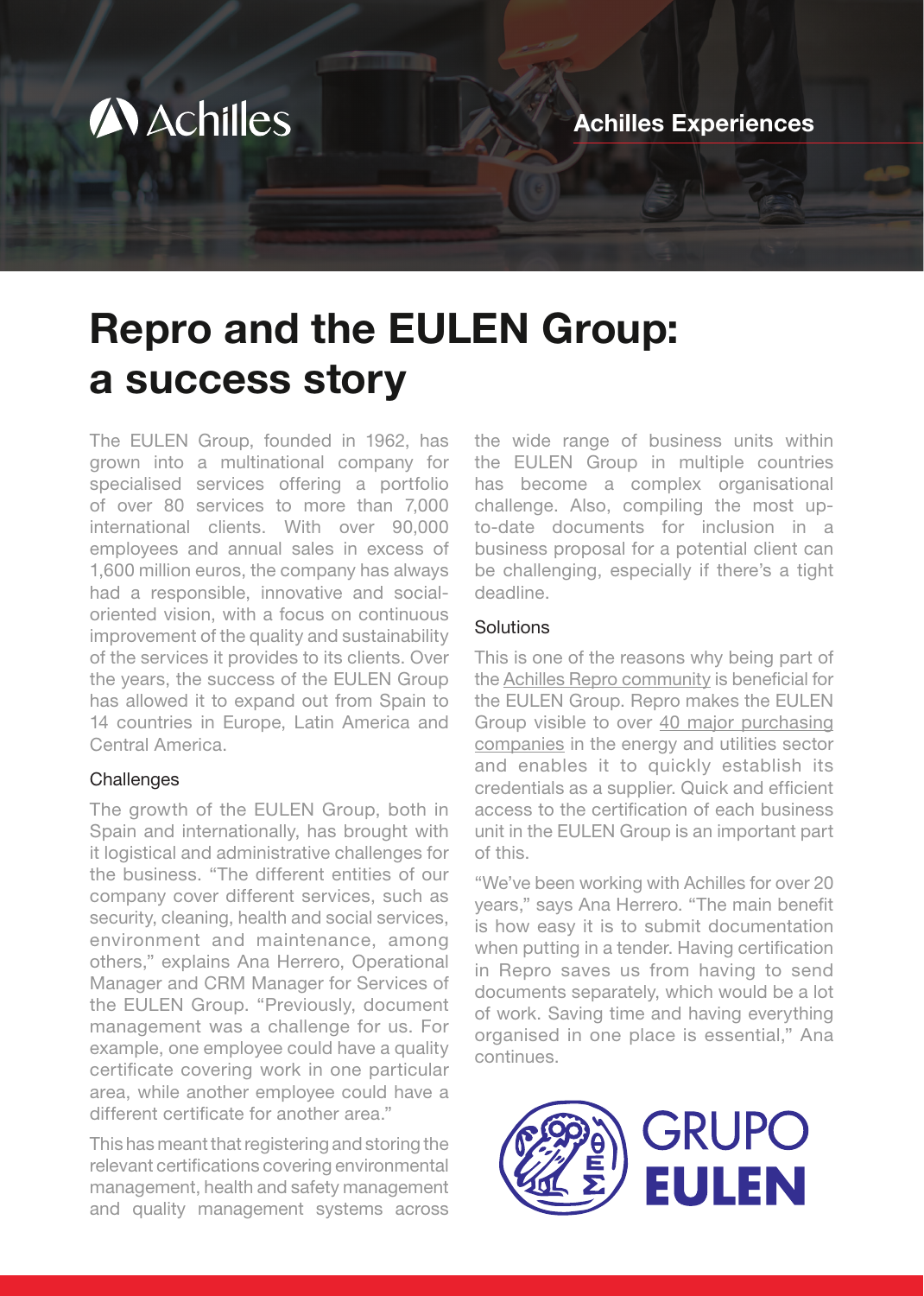

# Repro and the EULEN Group: a success story

The EULEN Group, founded in 1962, has grown into a multinational company for specialised services offering a portfolio of over 80 services to more than 7,000 international clients. With over 90,000 employees and annual sales in excess of 1,600 million euros, the company has always had a responsible, innovative and socialoriented vision, with a focus on continuous improvement of the quality and sustainability of the services it provides to its clients. Over the years, the success of the EULEN Group has allowed it to expand out from Spain to 14 countries in Europe, Latin America and Central America.

#### **Challenges**

The growth of the EULEN Group, both in Spain and internationally, has brought with it logistical and administrative challenges for the business. "The different entities of our company cover different services, such as security, cleaning, health and social services, environment and maintenance, among others," explains Ana Herrero, Operational Manager and CRM Manager for Services of the EULEN Group. "Previously, document management was a challenge for us. For example, one employee could have a quality certificate covering work in one particular area, while another employee could have a different certificate for another area."

This has meant that registering and storing the relevant certifications covering environmental management, health and safety management and quality management systems across

the wide range of business units within the EULEN Group in multiple countries has become a complex organisational challenge. Also, compiling the most upto-date documents for inclusion in a business proposal for a potential client can be challenging, especially if there's a tight deadline.

#### Solutions

This is one of the reasons why being part of the [Achilles Repro community](https://www.achilles.com/community/repro/) is beneficial for the EULEN Group. Repro makes the EULEN Group visible to over [40 major purchasing](https://www.achilles.com/app/uploads/2022/01/Buyer-Member-List-Repro-2022-1.pdf)  [companies](https://www.achilles.com/app/uploads/2022/01/Buyer-Member-List-Repro-2022-1.pdf) in the energy and utilities sector and enables it to quickly establish its credentials as a supplier. Quick and efficient access to the certification of each business unit in the EULEN Group is an important part of this.

"We've been working with Achilles for over 20 years," says Ana Herrero. "The main benefit is how easy it is to submit documentation when putting in a tender. Having certification in Repro saves us from having to send documents separately, which would be a lot of work. Saving time and having everything organised in one place is essential," Ana continues.